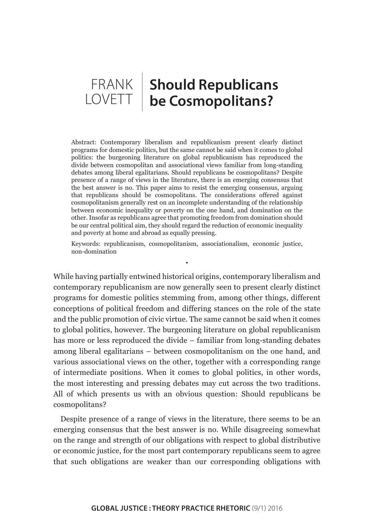# FRANK **Should Republicans**  LOVETT **be Cosmopolitans?**

Abstract: Contemporary liberalism and republicanism present clearly distinct programs for domestic politics, but the same cannot be said when it comes to global politics: the burgeoning literature on global republicanism has reproduced the divide between cosmopolitan and associational views familiar from long-standing debates among liberal egalitarians. Should republicans be cosmopolitans? Despite presence of a range of views in the literature, there is an emerging consensus that the best answer is no. This paper aims to resist the emerging consensus, arguing that republicans should be cosmopolitans. The considerations offered against cosmopolitanism generally rest on an incomplete understanding of the relationship between economic inequality or poverty on the one hand, and domination on the other. Insofar as republicans agree that promoting freedom from domination should be our central political aim, they should regard the reduction of economic inequality and poverty at home and abroad as equally pressing.

Keywords: republicanism, cosmopolitanism, associationalism, economic justice, non-domination

•

While having partially entwined historical origins, contemporary liberalism and contemporary republicanism are now generally seen to present clearly distinct programs for domestic politics stemming from, among other things, different conceptions of political freedom and differing stances on the role of the state and the public promotion of civic virtue. The same cannot be said when it comes to global politics, however. The burgeoning literature on global republicanism has more or less reproduced the divide – familiar from long-standing debates among liberal egalitarians – between cosmopolitanism on the one hand, and various associational views on the other, together with a corresponding range of intermediate positions. When it comes to global politics, in other words, the most interesting and pressing debates may cut across the two traditions. All of which presents us with an obvious question: Should republicans be cosmopolitans?

Despite presence of a range of views in the literature, there seems to be an emerging consensus that the best answer is no. While disagreeing somewhat on the range and strength of our obligations with respect to global distributive or economic justice, for the most part contemporary republicans seem to agree that such obligations are weaker than our corresponding obligations with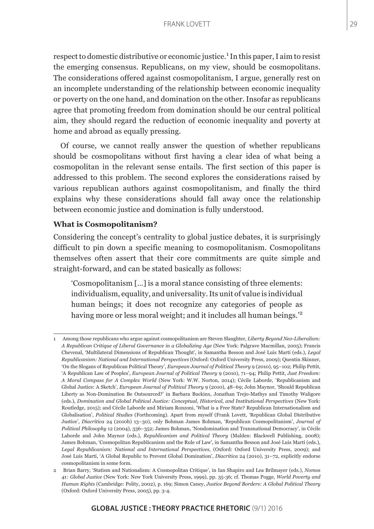respect to domestic distributive or economic justice.<sup>1</sup> In this paper, I aim to resist the emerging consensus. Republicans, on my view, should be cosmopolitans. The considerations offered against cosmopolitanism, I argue, generally rest on an incomplete understanding of the relationship between economic inequality or poverty on the one hand, and domination on the other. Insofar as republicans agree that promoting freedom from domination should be our central political aim, they should regard the reduction of economic inequality and poverty at home and abroad as equally pressing.

Of course, we cannot really answer the question of whether republicans should be cosmopolitans without first having a clear idea of what being a cosmopolitan in the relevant sense entails. The first section of this paper is addressed to this problem. The second explores the considerations raised by various republican authors against cosmopolitanism, and finally the third explains why these considerations should fall away once the relationship between economic justice and domination is fully understood.

# **What is Cosmopolitanism?**

Considering the concept's centrality to global justice debates, it is surprisingly difficult to pin down a specific meaning to cosmopolitanism. Cosmopolitans themselves often assert that their core commitments are quite simple and straight-forward, and can be stated basically as follows:

'Cosmopolitanism […] is a moral stance consisting of three elements: individualism, equality, and universality. Its unit of value is individual human beings; it does not recognize any categories of people as having more or less moral weight; and it includes all human beings."<sup>2</sup>

<sup>1</sup> Among those republicans who argue against cosmopolitanism are Steven Slaughter, *Liberty Beyond Neo-Liberalism: A Republican Critique of Liberal Governance in a Globalizing Age* (New York: Palgrave Macmillan, 2005); Francis Chevenal, 'Multilateral Dimensions of Republican Thought', in Samantha Besson and José Luis Martí (eds.), *Legal Republicanism: National and International Perspectives* (Oxford: Oxford University Press, 2009); Quentin Skinner, 'On the Slogans of Republican Political Theory', *European Journal of Political Theory* 9 (2010), 95–102; Philip Pettit, 'A Republican Law of Peoples', *European Journal of Political Theory* 9 (2010), 71–94; Philip Pettit, *Just Freedom: A Moral Compass for A Complex World* (New York: W.W. Norton, 2014); Cécile Laborde, 'Republicanism and Global Justice: A Sketch', *European Journal of Political Theory* 9 (2010), 48–69; John Maynor, 'Should Republican Liberty as Non-Domination Be Outsourced?' in Barbara Buckinx, Jonathan Trejo-Mathys and Timothy Waligore (eds.), *Domination and Global Political Justice: Conceptual, Historical, and Institutional Perspectives* (New York: Routledge, 2015); and Cécile Laborde and Miriam Ronzoni, 'What is a Free State? Republican Internationalism and Globalisation', *Political Studies* (Forthcoming). Apart from myself (Frank Lovett, 'Republican Global Distributive Justice', *Diacrítica* 24 (2010b) 13–30), only Bohman James Bohman, 'Republican Cosmopolitanism', *Journal of Political Philosophy* 12 (2004), 336–352; James Bohman, 'Nondomination and Transnational Democracy', in Cécile Laborde and John Maynor (eds.), *Republicanism and Political Theory* (Malden: Blackwell Publishing, 2008); James Bohman, 'Cosmopolitan Republicanism and the Rule of Law', in Samantha Besson and José Luis Martí (eds.), *Legal Republicanism: National and International Perspectives*, (Oxford: Oxford University Press, 2009); and José Luis Martí, 'A Global Republic to Prevent Global Domination', *Diacrítica* 24 (2010), 31–72, explicitly endorse cosmopolitanism in some form.

<sup>2</sup> Brian Barry, 'Statism and Nationalism: A Cosmopolitan Critique', in Ian Shapiro and Lea Brilmayer (eds.), *Nomos 41: Global Justice* (New York: New York University Press, 1999), pp. 35-36; cf. Thomas Pogge, *World Poverty and Human Rights* (Cambridge: Polity, 2002), p. 169; Simon Caney, *Justice Beyond Borders: A Global Political Theory* (Oxford: Oxford University Press, 2005), pp. 3-4.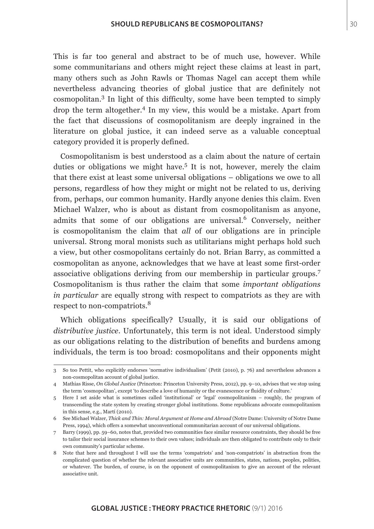This is far too general and abstract to be of much use, however. While some communitarians and others might reject these claims at least in part, many others such as John Rawls or Thomas Nagel can accept them while nevertheless advancing theories of global justice that are definitely not cosmopolitan.<sup>3</sup> In light of this difficulty, some have been tempted to simply drop the term altogether.4 In my view, this would be a mistake. Apart from the fact that discussions of cosmopolitanism are deeply ingrained in the literature on global justice, it can indeed serve as a valuable conceptual category provided it is properly defined.

Cosmopolitanism is best understood as a claim about the nature of certain duties or obligations we might have.<sup>5</sup> It is not, however, merely the claim that there exist at least some universal obligations – obligations we owe to all persons, regardless of how they might or might not be related to us, deriving from, perhaps, our common humanity. Hardly anyone denies this claim. Even Michael Walzer, who is about as distant from cosmopolitanism as anyone, admits that some of our obligations are universal.<sup>6</sup> Conversely, neither is cosmopolitanism the claim that *all* of our obligations are in principle universal. Strong moral monists such as utilitarians might perhaps hold such a view, but other cosmopolitans certainly do not. Brian Barry, as committed a cosmopolitan as anyone, acknowledges that we have at least some first-order associative obligations deriving from our membership in particular groups.<sup>7</sup> Cosmopolitanism is thus rather the claim that some *important obligations in particular* are equally strong with respect to compatriots as they are with respect to non-compatriots.<sup>8</sup>

Which obligations specifically? Usually, it is said our obligations of *distributive justice*. Unfortunately, this term is not ideal. Understood simply as our obligations relating to the distribution of benefits and burdens among individuals, the term is too broad: cosmopolitans and their opponents might

<sup>3</sup> So too Pettit, who explicitly endorses 'normative individualism' (Petit (2010), p. 76) and nevertheless advances a non-cosmopolitan account of global justice.

<sup>4</sup> Mathias Risse, *On Global Justice* (Princeton: Princeton University Press, 2012), pp. 9–10, advises that we stop using the term 'cosmopolitan', except 'to describe a love of humanity or the evanescence or fluidity of culture.'

<sup>5</sup> Here I set aside what is sometimes called 'institutional' or 'legal' cosmopolitanism – roughly, the program of transcending the state system by creating stronger global institutions. Some republicans advocate cosmopolitanism in this sense, e.g., Martí (2010).

<sup>6</sup> See Michael Walzer, *Thick and Thin: Moral Argument at Home and Abroad* (Notre Dame: University of Notre Dame Press, 1994), which offers a somewhat unconventional communitarian account of our universal obligations.

<sup>7</sup> Barry (1999), pp. 59–60, notes that, provided two communities face similar resource constraints, they should be free to tailor their social insurance schemes to their own values; individuals are then obligated to contribute only to their own community's particular scheme.

<sup>8</sup> Note that here and throughout I will use the terms 'compatriots' and 'non-compatriots' in abstraction from the complicated question of whether the relevant associative units are communities, states, nations, peoples, polities, or whatever. The burden, of course, is on the opponent of cosmopolitanism to give an account of the relevant associative unit.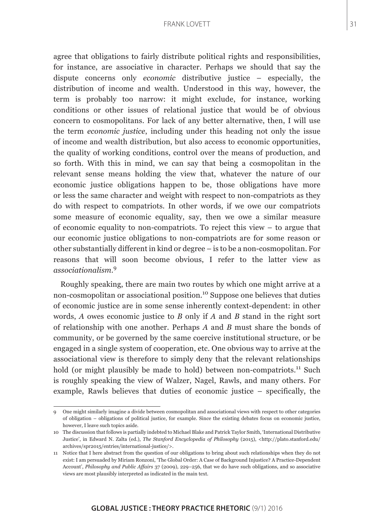agree that obligations to fairly distribute political rights and responsibilities, for instance, are associative in character. Perhaps we should that say the dispute concerns only *economic* distributive justice – especially, the distribution of income and wealth. Understood in this way, however, the term is probably too narrow: it might exclude, for instance, working conditions or other issues of relational justice that would be of obvious concern to cosmopolitans. For lack of any better alternative, then, I will use the term *economic justice*, including under this heading not only the issue of income and wealth distribution, but also access to economic opportunities, the quality of working conditions, control over the means of production, and so forth. With this in mind, we can say that being a cosmopolitan in the relevant sense means holding the view that, whatever the nature of our economic justice obligations happen to be, those obligations have more or less the same character and weight with respect to non-compatriots as they do with respect to compatriots. In other words, if we owe our compatriots some measure of economic equality, say, then we owe a similar measure of economic equality to non-compatriots. To reject this view – to argue that our economic justice obligations to non-compatriots are for some reason or other substantially different in kind or degree – is to be a non-cosmopolitan. For reasons that will soon become obvious, I refer to the latter view as *associationalism*. 9

Roughly speaking, there are main two routes by which one might arrive at a non-cosmopolitan or associational position.10 Suppose one believes that duties of economic justice are in some sense inherently context-dependent: in other words, *A* owes economic justice to *B* only if *A* and *B* stand in the right sort of relationship with one another. Perhaps *A* and *B* must share the bonds of community, or be governed by the same coercive institutional structure, or be engaged in a single system of cooperation, etc. One obvious way to arrive at the associational view is therefore to simply deny that the relevant relationships hold (or might plausibly be made to hold) between non-compatriots.<sup>11</sup> Such is roughly speaking the view of Walzer, Nagel, Rawls, and many others. For example, Rawls believes that duties of economic justice – specifically, the

<sup>9</sup> One might similarly imagine a divide between cosmopolitan and associational views with respect to other categories of obligation – obligations of political justice, for example. Since the existing debates focus on economic justice, however, I leave such topics aside.

<sup>10</sup> The discussion that follows is partially indebted to Michael Blake and Patrick Taylor Smith, 'International Distributive Justice', in Edward N. Zalta (ed.), *The Stanford Encyclopedia of Philosophy* (2015), <http://plato.stanford.edu/ archives/spr2015/entries/international-justice/>.

<sup>11</sup> Notice that I here abstract from the question of our obligations to bring about such relationships when they do not exist: I am persuaded by Miriam Ronzoni, 'The Global Order: A Case of Background Injustice? A Practice-Dependent Account', *Philosophy and Public Affairs* 37 (2009), 229–256, that we do have such obligations, and so associative views are most plausibly interpreted as indicated in the main text.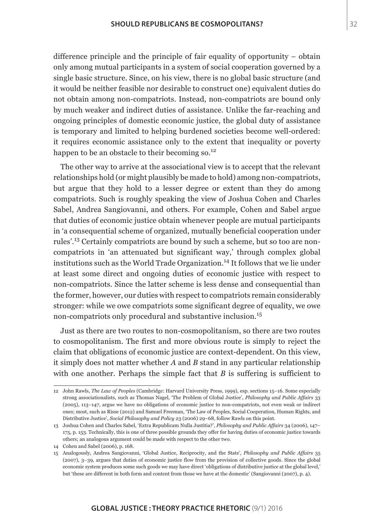difference principle and the principle of fair equality of opportunity – obtain only among mutual participants in a system of social cooperation governed by a single basic structure. Since, on his view, there is no global basic structure (and it would be neither feasible nor desirable to construct one) equivalent duties do not obtain among non-compatriots. Instead, non-compatriots are bound only by much weaker and indirect duties of assistance. Unlike the far-reaching and ongoing principles of domestic economic justice, the global duty of assistance is temporary and limited to helping burdened societies become well-ordered: it requires economic assistance only to the extent that inequality or poverty happen to be an obstacle to their becoming so.<sup>12</sup>

The other way to arrive at the associational view is to accept that the relevant relationships hold (or might plausibly be made to hold) among non-compatriots, but argue that they hold to a lesser degree or extent than they do among compatriots. Such is roughly speaking the view of Joshua Cohen and Charles Sabel, Andrea Sangiovanni, and others. For example, Cohen and Sabel argue that duties of economic justice obtain whenever people are mutual participants in 'a consequential scheme of organized, mutually beneficial cooperation under rules'.13 Certainly compatriots are bound by such a scheme, but so too are noncompatriots in 'an attenuated but significant way,' through complex global institutions such as the World Trade Organization.<sup>14</sup> It follows that we lie under at least some direct and ongoing duties of economic justice with respect to non-compatriots. Since the latter scheme is less dense and consequential than the former, however, our duties with respect to compatriots remain considerably stronger: while we owe compatriots some significant degree of equality, we owe non-compatriots only procedural and substantive inclusion.<sup>15</sup>

Just as there are two routes to non-cosmopolitanism, so there are two routes to cosmopolitanism. The first and more obvious route is simply to reject the claim that obligations of economic justice are context-dependent. On this view, it simply does not matter whether *A* and *B* stand in any particular relationship with one another. Perhaps the simple fact that *B* is suffering is sufficient to

<sup>12</sup> John Rawls, *The Law of Peoples* (Cambridge: Harvard University Press, 1999), esp. sections 15–16. Some especially strong associationalists, such as Thomas Nagel, 'The Problem of Global Justice', *Philosophy and Public Affairs* 33 (2005), 113–147, argue we have no obligations of economic justice to non-compatriots, not even weak or indirect ones; most, such as Risse (2012) and Samuel Freeman, 'The Law of Peoples, Social Cooperation, Human Rights, and Distributive Justice', *Social Philosophy and Policy* 23 (2006) 29–68, follow Rawls on this point.

<sup>13</sup> Joshua Cohen and Charles Sabel, 'Extra Republicam Nulla Justitia?', *Philosophy and Public Affairs* 34 (2006), 147– 175, p. 153. Technically, this is one of three possible grounds they offer for having duties of economic justice towards others; an analogous argument could be made with respect to the other two.

<sup>14</sup> Cohen and Sabel (2006), p. 168.

<sup>15</sup> Analogously, Andrea Sangiovanni, 'Global Justice, Reciprocity, and the State', *Philosophy and Public Affairs* 35 (2007), 3–39, argues that duties of economic justice flow from the provision of collective goods. Since the global economic system produces some such goods we may have direct 'obligations of distributive justice at the global level,' but 'these are different in both form and content from those we have at the domestic' (Sangiovanni (2007), p. 4).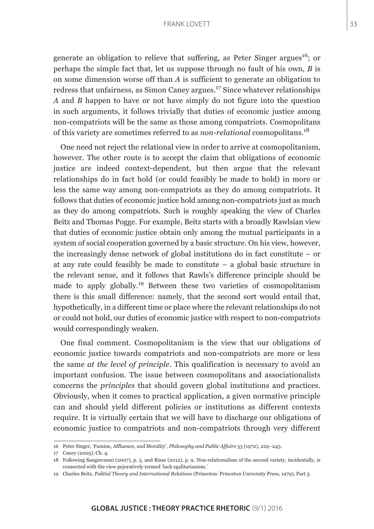generate an obligation to relieve that suffering, as Peter Singer argues<sup>16</sup>; or perhaps the simple fact that, let us suppose through no fault of his own, *B* is on some dimension worse off than *A* is sufficient to generate an obligation to redress that unfairness, as Simon Caney argues.17 Since whatever relationships *A* and *B* happen to have or not have simply do not figure into the question in such arguments, it follows trivially that duties of economic justice among non-compatriots will be the same as those among compatriots. Cosmopolitans of this variety are sometimes referred to as *non-relational* cosmopolitans.<sup>18</sup>

One need not reject the relational view in order to arrive at cosmopolitanism, however. The other route is to accept the claim that obligations of economic justice are indeed context-dependent, but then argue that the relevant relationships do in fact hold (or could feasibly be made to hold) in more or less the same way among non-compatriots as they do among compatriots. It follows that duties of economic justice hold among non-compatriots just as much as they do among compatriots. Such is roughly speaking the view of Charles Beitz and Thomas Pogge. For example, Beitz starts with a broadly Rawlsian view that duties of economic justice obtain only among the mutual participants in a system of social cooperation governed by a basic structure. On his view, however, the increasingly dense network of global institutions do in fact constitute – or at any rate could feasibly be made to constitute – a global basic structure in the relevant sense, and it follows that Rawls's difference principle should be made to apply globally.19 Between these two varieties of cosmopolitanism there is this small difference: namely, that the second sort would entail that, hypothetically, in a different time or place where the relevant relationships do not or could not hold, our duties of economic justice with respect to non-compatriots would correspondingly weaken.

One final comment. Cosmopolitanism is the view that our obligations of economic justice towards compatriots and non-compatriots are more or less the same *at the level of principle*. This qualification is necessary to avoid an important confusion. The issue between cosmopolitans and associationalists concerns the *principles* that should govern global institutions and practices. Obviously, when it comes to practical application, a given normative principle can and should yield different policies or institutions as different contexts require. It is virtually certain that we will have to discharge our obligations of economic justice to compatriots and non-compatriots through very different

<sup>16</sup> Peter Singer, 'Famine, Affluence, and Morality', *Philosophy and Public Affairs* 33 (1972), 229–243.

<sup>17</sup> Caney (2005), Ch. 4.

<sup>18</sup> Following Sangiovanni (2007), p. 5, and Risse (2012), p. 9. Non-relationalism of the second variety, incidentally, is connected with the view pejoratively termed 'luck egalitarianism.'

<sup>19</sup> Charles Beitz, *Politial Theory and International Relations* (Princeton: Princeton University Press, 1979), Part 3.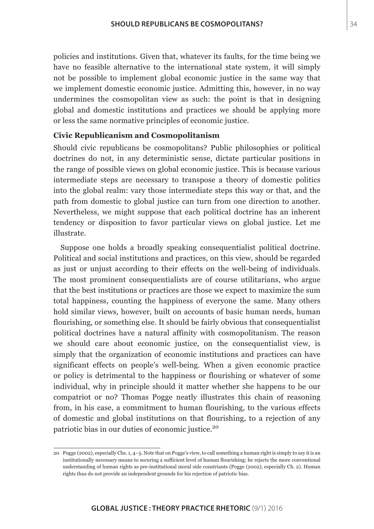policies and institutions. Given that, whatever its faults, for the time being we have no feasible alternative to the international state system, it will simply not be possible to implement global economic justice in the same way that we implement domestic economic justice. Admitting this, however, in no way undermines the cosmopolitan view as such: the point is that in designing global and domestic institutions and practices we should be applying more or less the same normative principles of economic justice.

# **Civic Republicanism and Cosmopolitanism**

Should civic republicans be cosmopolitans? Public philosophies or political doctrines do not, in any deterministic sense, dictate particular positions in the range of possible views on global economic justice. This is because various intermediate steps are necessary to transpose a theory of domestic politics into the global realm: vary those intermediate steps this way or that, and the path from domestic to global justice can turn from one direction to another. Nevertheless, we might suppose that each political doctrine has an inherent tendency or disposition to favor particular views on global justice. Let me illustrate.

Suppose one holds a broadly speaking consequentialist political doctrine. Political and social institutions and practices, on this view, should be regarded as just or unjust according to their effects on the well-being of individuals. The most prominent consequentialists are of course utilitarians, who argue that the best institutions or practices are those we expect to maximize the sum total happiness, counting the happiness of everyone the same. Many others hold similar views, however, built on accounts of basic human needs, human flourishing, or something else. It should be fairly obvious that consequentialist political doctrines have a natural affinity with cosmopolitanism. The reason we should care about economic justice, on the consequentialist view, is simply that the organization of economic institutions and practices can have significant effects on people's well-being. When a given economic practice or policy is detrimental to the happiness or flourishing or whatever of some individual, why in principle should it matter whether she happens to be our compatriot or no? Thomas Pogge neatly illustrates this chain of reasoning from, in his case, a commitment to human flourishing, to the various effects of domestic and global institutions on that flourishing, to a rejection of any patriotic bias in our duties of economic justice.<sup>20</sup>

<sup>20</sup> Pogge (2002), especially Chs. 1, 4–5. Note that on Pogge's view, to call something a human right is simply to say it is an institutionally necessary means to securing a sufficient level of human flourishing; he rejects the more conventional understanding of human rights as pre-institutional moral side constriants (Pogge (2002), especially Ch. 2). Human rights thus do not provide an independent grounds for his rejection of patriotic bias.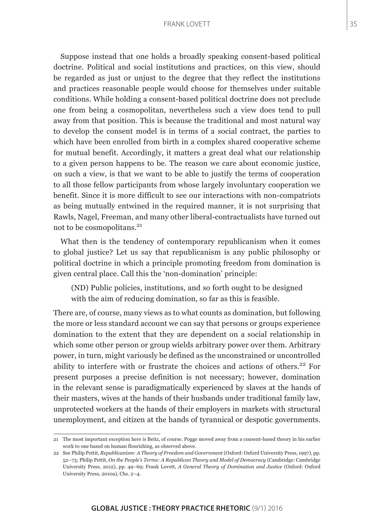Suppose instead that one holds a broadly speaking consent-based political doctrine. Political and social institutions and practices, on this view, should be regarded as just or unjust to the degree that they reflect the institutions and practices reasonable people would choose for themselves under suitable conditions. While holding a consent-based political doctrine does not preclude one from being a cosmopolitan, nevertheless such a view does tend to pull away from that position. This is because the traditional and most natural way to develop the consent model is in terms of a social contract, the parties to which have been enrolled from birth in a complex shared cooperative scheme for mutual benefit. Accordingly, it matters a great deal what our relationship to a given person happens to be. The reason we care about economic justice, on such a view, is that we want to be able to justify the terms of cooperation to all those fellow participants from whose largely involuntary cooperation we benefit. Since it is more difficult to see our interactions with non-compatriots as being mutually entwined in the required manner, it is not surprising that Rawls, Nagel, Freeman, and many other liberal-contractualists have turned out not to be cosmopolitans.<sup>21</sup>

What then is the tendency of contemporary republicanism when it comes to global justice? Let us say that republicanism is any public philosophy or political doctrine in which a principle promoting freedom from domination is given central place. Call this the 'non-domination' principle:

(ND) Public policies, institutions, and so forth ought to be designed with the aim of reducing domination, so far as this is feasible.

There are, of course, many views as to what counts as domination, but following the more or less standard account we can say that persons or groups experience domination to the extent that they are dependent on a social relationship in which some other person or group wields arbitrary power over them. Arbitrary power, in turn, might variously be defined as the unconstrained or uncontrolled ability to interfere with or frustrate the choices and actions of others.<sup>22</sup> For present purposes a precise definition is not necessary; however, domination in the relevant sense is paradigmatically experienced by slaves at the hands of their masters, wives at the hands of their husbands under traditional family law, unprotected workers at the hands of their employers in markets with structural unemployment, and citizen at the hands of tyrannical or despotic governments.

<sup>21</sup> The most important exception here is Beitz, of course. Pogge moved away from a consent-based theory in his earlier work to one based on human flourishing, as observed above.

<sup>22</sup> See Philip Pettit, *Republicanism: A Theory of Freedom and Government* (Oxford: Oxford University Press, 1997), pp. 52–73; Philip Pettit, *On the People's Terms: A Republican Theory and Model of Democracy* (Cambridge: Cambridge University Press, 2012), pp. 49–69; Frank Lovett, *A General Theory of Domination and Justice* (Oxford: Oxford University Press, 2010a), Chs. 2–4.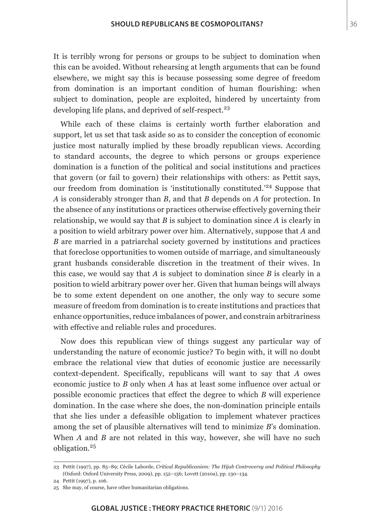It is terribly wrong for persons or groups to be subject to domination when this can be avoided. Without rehearsing at length arguments that can be found elsewhere, we might say this is because possessing some degree of freedom from domination is an important condition of human flourishing: when subject to domination, people are exploited, hindered by uncertainty from developing life plans, and deprived of self-respect.<sup>23</sup>

While each of these claims is certainly worth further elaboration and support, let us set that task aside so as to consider the conception of economic justice most naturally implied by these broadly republican views. According to standard accounts, the degree to which persons or groups experience domination is a function of the political and social institutions and practices that govern (or fail to govern) their relationships with others: as Pettit says, our freedom from domination is 'institutionally constituted.'24 Suppose that *A* is considerably stronger than *B*, and that *B* depends on *A* for protection. In the absence of any institutions or practices otherwise effectively governing their relationship, we would say that *B* is subject to domination since *A* is clearly in a position to wield arbitrary power over him. Alternatively, suppose that *A* and *B* are married in a patriarchal society governed by institutions and practices that foreclose opportunities to women outside of marriage, and simultaneously grant husbands considerable discretion in the treatment of their wives. In this case, we would say that *A* is subject to domination since *B* is clearly in a position to wield arbitrary power over her. Given that human beings will always be to some extent dependent on one another, the only way to secure some measure of freedom from domination is to create institutions and practices that enhance opportunities, reduce imbalances of power, and constrain arbitrariness with effective and reliable rules and procedures.

Now does this republican view of things suggest any particular way of understanding the nature of economic justice? To begin with, it will no doubt embrace the relational view that duties of economic justice are necessarily context-dependent. Specifically, republicans will want to say that *A* owes economic justice to *B* only when *A* has at least some influence over actual or possible economic practices that effect the degree to which *B* will experience domination. In the case where she does, the non-domination principle entails that she lies under a defeasible obligation to implement whatever practices among the set of plausible alternatives will tend to minimize *B*'s domination. When *A* and *B* are not related in this way, however, she will have no such obligation.<sup>25</sup>

<sup>23</sup> Pettit (1997), pp. 85–89; Cécile Laborde, *Critical Republicanism: The Hijab Controversy and Political Philosophy*  (Oxford: Oxford University Press, 2009), pp. 152–156; Lovett (2010a), pp. 130–134.

<sup>24</sup> Pettit (1997), p. 106.

<sup>25</sup> She may, of course, have other humanitarian obligations.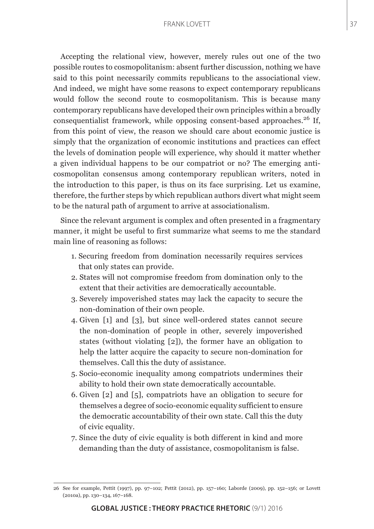Accepting the relational view, however, merely rules out one of the two possible routes to cosmopolitanism: absent further discussion, nothing we have said to this point necessarily commits republicans to the associational view. And indeed, we might have some reasons to expect contemporary republicans would follow the second route to cosmopolitanism. This is because many contemporary republicans have developed their own principles within a broadly consequentialist framework, while opposing consent-based approaches.<sup>26</sup> If, from this point of view, the reason we should care about economic justice is simply that the organization of economic institutions and practices can effect the levels of domination people will experience, why should it matter whether a given individual happens to be our compatriot or no? The emerging anticosmopolitan consensus among contemporary republican writers, noted in the introduction to this paper, is thus on its face surprising. Let us examine, therefore, the further steps by which republican authors divert what might seem to be the natural path of argument to arrive at associationalism.

Since the relevant argument is complex and often presented in a fragmentary manner, it might be useful to first summarize what seems to me the standard main line of reasoning as follows:

- 1. Securing freedom from domination necessarily requires services that only states can provide.
- 2. States will not compromise freedom from domination only to the extent that their activities are democratically accountable.
- 3. Severely impoverished states may lack the capacity to secure the non-domination of their own people.
- 4. Given [1] and [3], but since well-ordered states cannot secure the non-domination of people in other, severely impoverished states (without violating [2]), the former have an obligation to help the latter acquire the capacity to secure non-domination for themselves. Call this the duty of assistance.
- 5. Socio-economic inequality among compatriots undermines their ability to hold their own state democratically accountable.
- 6. Given [2] and [5], compatriots have an obligation to secure for themselves a degree of socio-economic equality sufficient to ensure the democratic accountability of their own state. Call this the duty of civic equality.
- 7. Since the duty of civic equality is both different in kind and more demanding than the duty of assistance, cosmopolitanism is false.

<sup>26</sup> See for example, Pettit (1997), pp. 97–102; Pettit (2012), pp. 157–160; Laborde (2009), pp. 152–156; or Lovett (2010a), pp. 130–134, 167–168.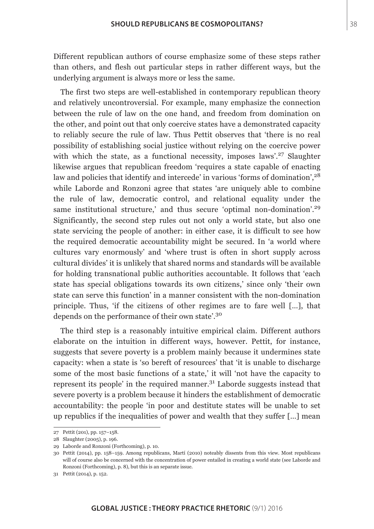Different republican authors of course emphasize some of these steps rather than others, and flesh out particular steps in rather different ways, but the underlying argument is always more or less the same.

The first two steps are well-established in contemporary republican theory and relatively uncontroversial. For example, many emphasize the connection between the rule of law on the one hand, and freedom from domination on the other, and point out that only coercive states have a demonstrated capacity to reliably secure the rule of law. Thus Pettit observes that 'there is no real possibility of establishing social justice without relying on the coercive power with which the state, as a functional necessity, imposes laws'.<sup>27</sup> Slaughter likewise argues that republican freedom 'requires a state capable of enacting law and policies that identify and intercede' in various 'forms of domination', <sup>28</sup> while Laborde and Ronzoni agree that states 'are uniquely able to combine the rule of law, democratic control, and relational equality under the same institutional structure,' and thus secure 'optimal non-domination'.<sup>29</sup> Significantly, the second step rules out not only a world state, but also one state servicing the people of another: in either case, it is difficult to see how the required democratic accountability might be secured. In 'a world where cultures vary enormously' and 'where trust is often in short supply across cultural divides' it is unlikely that shared norms and standards will be available for holding transnational public authorities accountable. It follows that 'each state has special obligations towards its own citizens,' since only 'their own state can serve this function' in a manner consistent with the non-domination principle. Thus, 'if the citizens of other regimes are to fare well […], that depends on the performance of their own state'.<sup>30</sup>

The third step is a reasonably intuitive empirical claim. Different authors elaborate on the intuition in different ways, however. Pettit, for instance, suggests that severe poverty is a problem mainly because it undermines state capacity: when a state is 'so bereft of resources' that 'it is unable to discharge some of the most basic functions of a state,' it will 'not have the capacity to represent its people' in the required manner. $3<sup>1</sup>$  Laborde suggests instead that severe poverty is a problem because it hinders the establishment of democratic accountability: the people 'in poor and destitute states will be unable to set up republics if the inequalities of power and wealth that they suffer […] mean

<sup>27</sup> Pettit (201), pp. 157–158.

<sup>28</sup> Slaughter (2005), p. 196.

<sup>29</sup> Laborde and Ronzoni (Forthcoming), p. 10.

<sup>30</sup> Pettit (2014), pp. 158–159. Among republicans, Martí (2010) noteably dissents from this view. Most republicans will of course also be concerned with the concentration of power entailed in creating a world state (see Laborde and Ronzoni (Forthcoming), p. 8), but this is an separate issue.

<sup>31</sup> Pettit (2014), p. 152.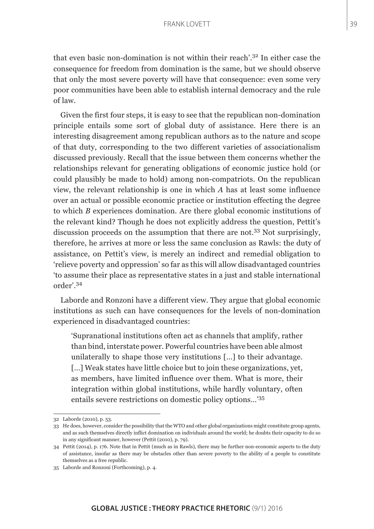that even basic non-domination is not within their reach'.32 In either case the consequence for freedom from domination is the same, but we should observe that only the most severe poverty will have that consequence: even some very poor communities have been able to establish internal democracy and the rule of law.

Given the first four steps, it is easy to see that the republican non-domination principle entails some sort of global duty of assistance. Here there is an interesting disagreement among republican authors as to the nature and scope of that duty, corresponding to the two different varieties of associationalism discussed previously. Recall that the issue between them concerns whether the relationships relevant for generating obligations of economic justice hold (or could plausibly be made to hold) among non-compatriots. On the republican view, the relevant relationship is one in which *A* has at least some influence over an actual or possible economic practice or institution effecting the degree to which *B* experiences domination. Are there global economic institutions of the relevant kind? Though he does not explicitly address the question, Pettit's discussion proceeds on the assumption that there are not.<sup>33</sup> Not surprisingly, therefore, he arrives at more or less the same conclusion as Rawls: the duty of assistance, on Pettit's view, is merely an indirect and remedial obligation to 'relieve poverty and oppression' so far as this will allow disadvantaged countries 'to assume their place as representative states in a just and stable international order'.<sup>34</sup>

Laborde and Ronzoni have a different view. They argue that global economic institutions as such can have consequences for the levels of non-domination experienced in disadvantaged countries:

'Supranational institutions often act as channels that amplify, rather than bind, interstate power. Powerful countries have been able almost unilaterally to shape those very institutions […] to their advantage. [...] Weak states have little choice but to join these organizations, yet, as members, have limited influence over them. What is more, their integration within global institutions, while hardly voluntary, often entails severe restrictions on domestic policy options…'<sup>35</sup>

<sup>32</sup> Laborde (2010), p. 53.

<sup>33</sup> He does, however, consider the possibility that the WTO and other global organizations might constitute group agents, and as such themselves directly inflict domination on individuals around the world; he doubts their capacity to do so in any significant manner, however (Pettit (2010), p. 79).

<sup>34</sup> Pettit (2014), p. 176. Note that in Pettit (much as in Rawls), there may be further non-economic aspects to the duty of assistance, insofar as there may be obstacles other than severe poverty to the ability of a people to constitute themselves as a free republic.

<sup>35</sup> Laborde and Ronzoni (Forthcoming), p. 4.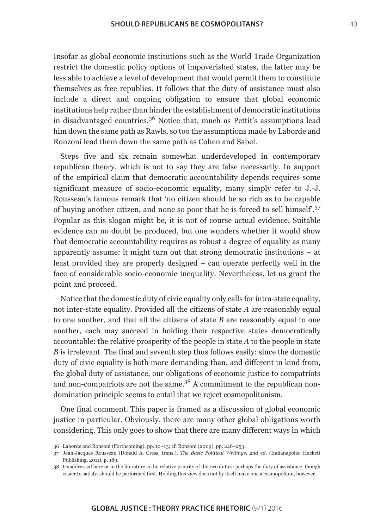Insofar as global economic institutions such as the World Trade Organization restrict the domestic policy options of impoverished states, the latter may be less able to achieve a level of development that would permit them to constitute themselves as free republics. It follows that the duty of assistance must also include a direct and ongoing obligation to ensure that global economic institutions help rather than hinder the establishment of democratic institutions in disadvantaged countries.36 Notice that, much as Pettit's assumptions lead him down the same path as Rawls, so too the assumptions made by Laborde and Ronzoni lead them down the same path as Cohen and Sabel.

Steps five and six remain somewhat underdeveloped in contemporary republican theory, which is not to say they are false necessarily. In support of the empirical claim that democratic accountability depends requires some significant measure of socio-economic equality, many simply refer to J.-J. Rousseau's famous remark that 'no citizen should be so rich as to be capable of buying another citizen, and none so poor that he is forced to sell himself'.<sup>37</sup> Popular as this slogan might be, it is not of course actual evidence. Suitable evidence can no doubt be produced, but one wonders whether it would show that democratic accountability requires as robust a degree of equality as many apparently assume: it might turn out that strong democratic institutions – at least provided they are properly designed – can operate perfectly well in the face of considerable socio-economic inequality. Nevertheless, let us grant the point and proceed.

Notice that the domestic duty of civic equality only calls for intra-state equality, not inter-state equality. Provided all the citizens of state *A* are reasonably equal to one another, and that all the citizens of state *B* are reasonably equal to one another, each may succeed in holding their respective states democratically accountable: the relative prosperity of the people in state *A* to the people in state *B* is irrelevant. The final and seventh step thus follows easily: since the domestic duty of civic equality is both more demanding than, and different in kind from, the global duty of assistance, our obligations of economic justice to compatriots and non-compatriots are not the same.<sup>38</sup> A commitment to the republican nondomination principle seems to entail that we reject cosmopolitanism.

One final comment. This paper is framed as a discussion of global economic justice in particular. Obviously, there are many other global obligations worth considering. This only goes to show that there are many different ways in which

<sup>36</sup> Laborde and Ronzoni (Forthcoming), pp. 10–13; cf. Ronzoni (2009), pp. 246–253.

<sup>37</sup> Jean-Jacques Rousseau (Donald A. Cress, trans.), *The Basic Political Writings, 2nd ed.* (Indianapolis: Hackett Publishing, 2011), p. 189.

<sup>38</sup> Unaddressed here or in the literature is the relative priority of the two duties: perhaps the duty of assistance, though easier to satisfy, should be performed first. Holding this view does not by itself make one a cosmopolitan, however.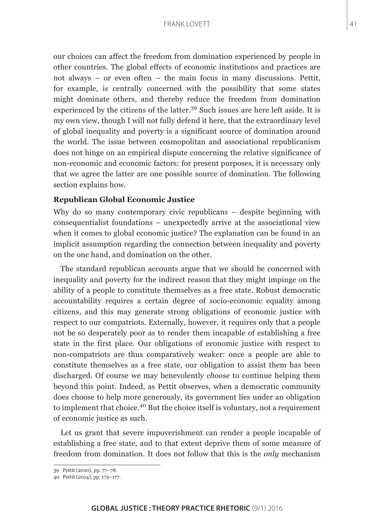our choices can affect the freedom from domination experienced by people in other countries. The global effects of economic institutions and practices are not always – or even often – the main focus in many discussions. Pettit, for example, is centrally concerned with the possibility that some states might dominate others, and thereby reduce the freedom from domination experienced by the citizens of the latter.<sup>39</sup> Such issues are here left aside. It is my own view, though I will not fully defend it here, that the extraordinary level of global inequality and poverty is a significant source of domination around the world. The issue between cosmopolitan and associational republicanism does not hinge on an empirical dispute concerning the relative significance of non-economic and economic factors: for present purposes, it is necessary only that we agree the latter are one possible source of domination. The following section explains how.

# **Republican Global Economic Justice**

Why do so many contemporary civic republicans – despite beginning with consequentialist foundations – unexpectedly arrive at the associational view when it comes to global economic justice? The explanation can be found in an implicit assumption regarding the connection between inequality and poverty on the one hand, and domination on the other.

The standard republican accounts argue that we should be concerned with inequality and poverty for the indirect reason that they might impinge on the ability of a people to constitute themselves as a free state. Robust democratic accountability requires a certain degree of socio-economic equality among citizens, and this may generate strong obligations of economic justice with respect to our compatriots. Externally, however, it requires only that a people not be so desperately poor as to render them incapable of establishing a free state in the first place. Our obligations of economic justice with respect to non-compatriots are thus comparatively weaker: once a people are able to constitute themselves as a free state, our obligation to assist them has been discharged. Of course we may benevolently *choose* to continue helping them beyond this point. Indeed, as Pettit observes, when a democratic community does choose to help more generously, its government lies under an obligation to implement that choice.40 But the choice itself is voluntary, not a requirement of economic justice as such.

Let us grant that severe impoverishment can render a people incapable of establishing a free state, and to that extent deprive them of some measure of freedom from domination. It does not follow that this is the *only* mechanism

<sup>39</sup> Pettit (2010), pp. 77–78.

<sup>40</sup> Pettit (2014), pp. 175–177.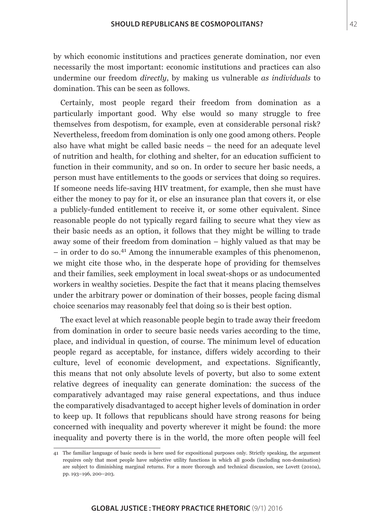by which economic institutions and practices generate domination, nor even necessarily the most important: economic institutions and practices can also undermine our freedom *directly*, by making us vulnerable *as individuals* to domination. This can be seen as follows.

Certainly, most people regard their freedom from domination as a particularly important good. Why else would so many struggle to free themselves from despotism, for example, even at considerable personal risk? Nevertheless, freedom from domination is only one good among others. People also have what might be called basic needs – the need for an adequate level of nutrition and health, for clothing and shelter, for an education sufficient to function in their community, and so on. In order to secure her basic needs, a person must have entitlements to the goods or services that doing so requires. If someone needs life-saving HIV treatment, for example, then she must have either the money to pay for it, or else an insurance plan that covers it, or else a publicly-funded entitlement to receive it, or some other equivalent. Since reasonable people do not typically regard failing to secure what they view as their basic needs as an option, it follows that they might be willing to trade away some of their freedom from domination – highly valued as that may be  $-$  in order to do so.<sup>41</sup> Among the innumerable examples of this phenomenon, we might cite those who, in the desperate hope of providing for themselves and their families, seek employment in local sweat-shops or as undocumented workers in wealthy societies. Despite the fact that it means placing themselves under the arbitrary power or domination of their bosses, people facing dismal choice scenarios may reasonably feel that doing so is their best option.

The exact level at which reasonable people begin to trade away their freedom from domination in order to secure basic needs varies according to the time, place, and individual in question, of course. The minimum level of education people regard as acceptable, for instance, differs widely according to their culture, level of economic development, and expectations. Significantly, this means that not only absolute levels of poverty, but also to some extent relative degrees of inequality can generate domination: the success of the comparatively advantaged may raise general expectations, and thus induce the comparatively disadvantaged to accept higher levels of domination in order to keep up. It follows that republicans should have strong reasons for being concerned with inequality and poverty wherever it might be found: the more inequality and poverty there is in the world, the more often people will feel

<sup>41</sup> The familiar language of basic needs is here used for expositional purposes only. Strictly speaking, the argument requires only that most people have subjective utility functions in which all goods (including non-domination) are subject to diminishing marginal returns. For a more thorough and technical discussion, see Lovett (2010a), pp. 193–196, 200–203.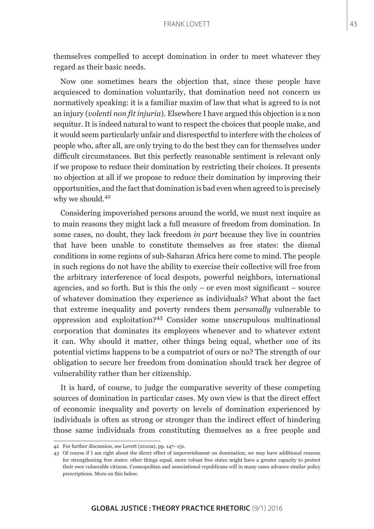themselves compelled to accept domination in order to meet whatever they regard as their basic needs.

Now one sometimes hears the objection that, since these people have acquiesced to domination voluntarily, that domination need not concern us normatively speaking: it is a familiar maxim of law that what is agreed to is not an injury (*volenti non fit injuria*). Elsewhere I have argued this objection is a non sequitur. It is indeed natural to want to respect the choices that people make, and it would seem particularly unfair and disrespectful to interfere with the choices of people who, after all, are only trying to do the best they can for themselves under difficult circumstances. But this perfectly reasonable sentiment is relevant only if we propose to reduce their domination by restricting their choices. It presents no objection at all if we propose to reduce their domination by improving their opportunities, and the fact that domination is bad even when agreed to is precisely why we should.<sup>42</sup>

Considering impoverished persons around the world, we must next inquire as to main reasons they might lack a full measure of freedom from domination. In some cases, no doubt, they lack freedom *in part* because they live in countries that have been unable to constitute themselves as free states: the dismal conditions in some regions of sub-Saharan Africa here come to mind. The people in such regions do not have the ability to exercise their collective will free from the arbitrary interference of local despots, powerful neighbors, international agencies, and so forth. But is this the only – or even most significant – source of whatever domination they experience as individuals? What about the fact that extreme inequality and poverty renders them *personally* vulnerable to oppression and exploitation?43 Consider some unscrupulous multinational corporation that dominates its employees whenever and to whatever extent it can. Why should it matter, other things being equal, whether one of its potential victims happens to be a compatriot of ours or no? The strength of our obligation to secure her freedom from domination should track her degree of vulnerability rather than her citizenship.

It is hard, of course, to judge the comparative severity of these competing sources of domination in particular cases. My own view is that the direct effect of economic inequality and poverty on levels of domination experienced by individuals is often as strong or stronger than the indirect effect of hindering those same individuals from constituting themselves as a free people and

<sup>42</sup> For further discussion, see Lovett (2010a), pp. 147–151.

<sup>43</sup> Of course if I am right about the direct effect of impoverishment on domination, we may have additional reasons for strengthening free states: other things equal, more robust free states might have a greater capacity to protect their own vulnerable citizens. Cosmopolitan and associational republicans will in many cases advance similar policy prescriptions. More on this below.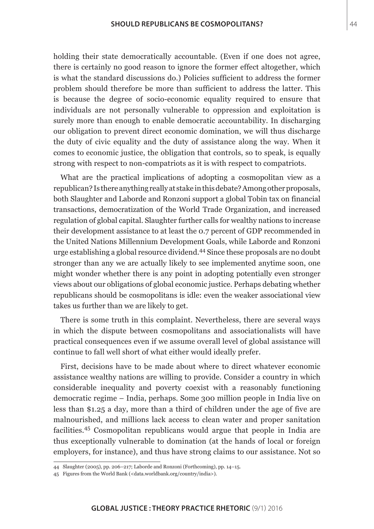holding their state democratically accountable. (Even if one does not agree, there is certainly no good reason to ignore the former effect altogether, which is what the standard discussions do.) Policies sufficient to address the former problem should therefore be more than sufficient to address the latter. This is because the degree of socio-economic equality required to ensure that individuals are not personally vulnerable to oppression and exploitation is surely more than enough to enable democratic accountability. In discharging our obligation to prevent direct economic domination, we will thus discharge the duty of civic equality and the duty of assistance along the way. When it comes to economic justice, the obligation that controls, so to speak, is equally strong with respect to non-compatriots as it is with respect to compatriots.

What are the practical implications of adopting a cosmopolitan view as a republican? Is there anything really at stake in this debate? Among other proposals, both Slaughter and Laborde and Ronzoni support a global Tobin tax on financial transactions, democratization of the World Trade Organization, and increased regulation of global capital. Slaughter further calls for wealthy nations to increase their development assistance to at least the 0.7 percent of GDP recommended in the United Nations Millennium Development Goals, while Laborde and Ronzoni urge establishing a global resource dividend.44 Since these proposals are no doubt stronger than any we are actually likely to see implemented anytime soon, one might wonder whether there is any point in adopting potentially even stronger views about our obligations of global economic justice. Perhaps debating whether republicans should be cosmopolitans is idle: even the weaker associational view takes us further than we are likely to get.

There is some truth in this complaint. Nevertheless, there are several ways in which the dispute between cosmopolitans and associationalists will have practical consequences even if we assume overall level of global assistance will continue to fall well short of what either would ideally prefer.

First, decisions have to be made about where to direct whatever economic assistance wealthy nations are willing to provide. Consider a country in which considerable inequality and poverty coexist with a reasonably functioning democratic regime – India, perhaps. Some 300 million people in India live on less than \$1.25 a day, more than a third of children under the age of five are malnourished, and millions lack access to clean water and proper sanitation facilities.45 Cosmopolitan republicans would argue that people in India are thus exceptionally vulnerable to domination (at the hands of local or foreign employers, for instance), and thus have strong claims to our assistance. Not so

<sup>44</sup> Slaughter (2005), pp. 206–217; Laborde and Ronzoni (Forthcoming), pp. 14–15.

<sup>45</sup> Figures from the World Bank (<data.worldbank.org/country/india>).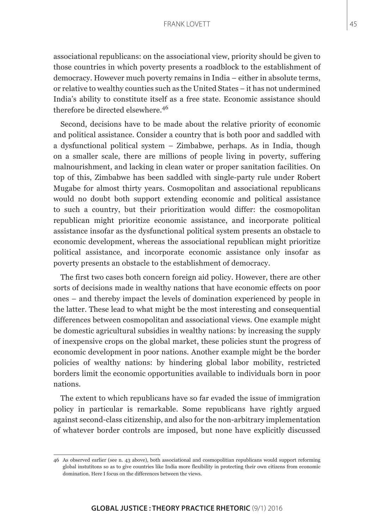associational republicans: on the associational view, priority should be given to those countries in which poverty presents a roadblock to the establishment of democracy. However much poverty remains in India – either in absolute terms, or relative to wealthy counties such as the United States – it has not undermined India's ability to constitute itself as a free state. Economic assistance should therefore be directed elsewhere.<sup>46</sup>

Second, decisions have to be made about the relative priority of economic and political assistance. Consider a country that is both poor and saddled with a dysfunctional political system – Zimbabwe, perhaps. As in India, though on a smaller scale, there are millions of people living in poverty, suffering malnourishment, and lacking in clean water or proper sanitation facilities. On top of this, Zimbabwe has been saddled with single-party rule under Robert Mugabe for almost thirty years. Cosmopolitan and associational republicans would no doubt both support extending economic and political assistance to such a country, but their prioritization would differ: the cosmopolitan republican might prioritize economic assistance, and incorporate political assistance insofar as the dysfunctional political system presents an obstacle to economic development, whereas the associational republican might prioritize political assistance, and incorporate economic assistance only insofar as poverty presents an obstacle to the establishment of democracy.

The first two cases both concern foreign aid policy. However, there are other sorts of decisions made in wealthy nations that have economic effects on poor ones – and thereby impact the levels of domination experienced by people in the latter. These lead to what might be the most interesting and consequential differences between cosmopolitan and associational views. One example might be domestic agricultural subsidies in wealthy nations: by increasing the supply of inexpensive crops on the global market, these policies stunt the progress of economic development in poor nations. Another example might be the border policies of wealthy nations: by hindering global labor mobility, restricted borders limit the economic opportunities available to individuals born in poor nations.

The extent to which republicans have so far evaded the issue of immigration policy in particular is remarkable. Some republicans have rightly argued against second-class citizenship, and also for the non-arbitrary implementation of whatever border controls are imposed, but none have explicitly discussed

<sup>46</sup> As observed earlier (see n. 43 above), both associational and cosmopolitian republicans would support reforming global instutitons so as to give countries like India more flexibility in protecting their own citizens from economic domination. Here I focus on the differences between the views.